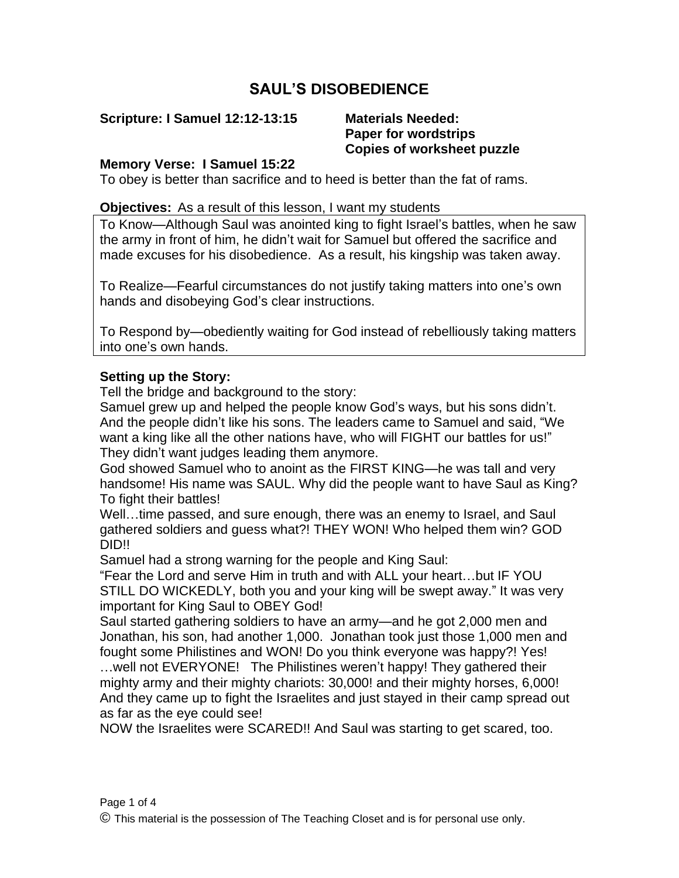# **SAUL'S DISOBEDIENCE**

**Scripture: I Samuel 12:12-13:15 Materials Needed:**

# **Paper for wordstrips Copies of worksheet puzzle**

#### **Memory Verse: I Samuel 15:22**

To obey is better than sacrifice and to heed is better than the fat of rams.

#### **Objectives:** As a result of this lesson, I want my students

To Know—Although Saul was anointed king to fight Israel's battles, when he saw the army in front of him, he didn't wait for Samuel but offered the sacrifice and made excuses for his disobedience. As a result, his kingship was taken away.

To Realize—Fearful circumstances do not justify taking matters into one's own hands and disobeying God's clear instructions.

To Respond by—obediently waiting for God instead of rebelliously taking matters into one's own hands.

## **Setting up the Story:**

Tell the bridge and background to the story:

Samuel grew up and helped the people know God's ways, but his sons didn't. And the people didn't like his sons. The leaders came to Samuel and said, "We want a king like all the other nations have, who will FIGHT our battles for us!" They didn't want judges leading them anymore.

God showed Samuel who to anoint as the FIRST KING—he was tall and very handsome! His name was SAUL. Why did the people want to have Saul as King? To fight their battles!

Well…time passed, and sure enough, there was an enemy to Israel, and Saul gathered soldiers and guess what?! THEY WON! Who helped them win? GOD DID!!

Samuel had a strong warning for the people and King Saul:

"Fear the Lord and serve Him in truth and with ALL your heart…but IF YOU STILL DO WICKEDLY, both you and your king will be swept away." It was very important for King Saul to OBEY God!

Saul started gathering soldiers to have an army—and he got 2,000 men and Jonathan, his son, had another 1,000. Jonathan took just those 1,000 men and fought some Philistines and WON! Do you think everyone was happy?! Yes! …well not EVERYONE! The Philistines weren't happy! They gathered their mighty army and their mighty chariots: 30,000! and their mighty horses, 6,000! And they came up to fight the Israelites and just stayed in their camp spread out

as far as the eye could see!

NOW the Israelites were SCARED!! And Saul was starting to get scared, too.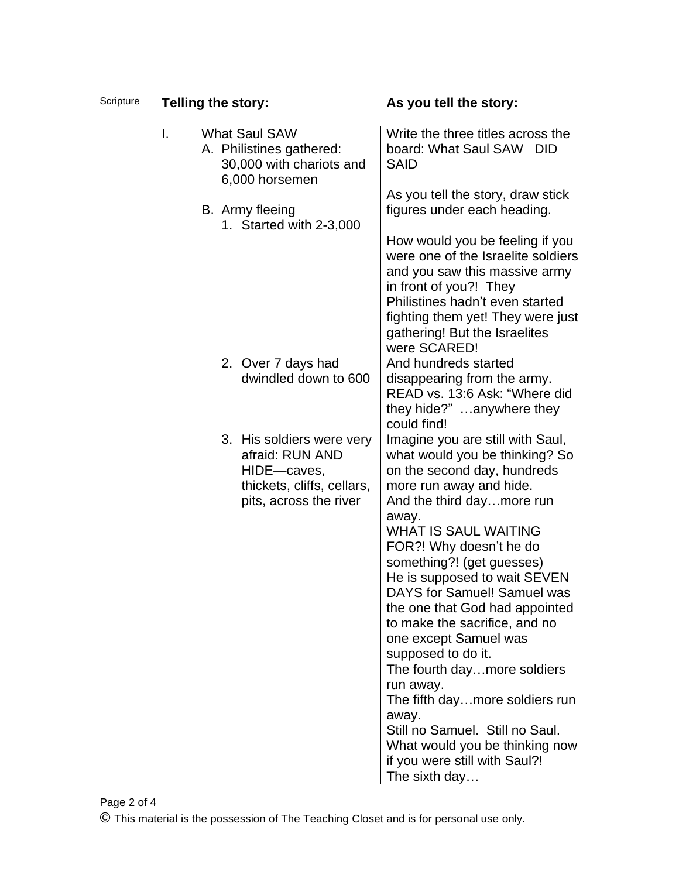| Scripture |    | <b>Telling the story:</b> |                                                                                                                     | As you tell the story:                                                                                                                                                                                                                                    |
|-----------|----|---------------------------|---------------------------------------------------------------------------------------------------------------------|-----------------------------------------------------------------------------------------------------------------------------------------------------------------------------------------------------------------------------------------------------------|
|           | L. |                           | <b>What Saul SAW</b><br>A. Philistines gathered:<br>30,000 with chariots and<br>6,000 horsemen                      | Write the three titles across the<br>board: What Saul SAW DID<br><b>SAID</b>                                                                                                                                                                              |
|           |    |                           | B. Army fleeing<br>1. Started with 2-3,000                                                                          | As you tell the story, draw stick<br>figures under each heading.                                                                                                                                                                                          |
|           |    |                           |                                                                                                                     | How would you be feeling if you<br>were one of the Israelite soldiers<br>and you saw this massive army<br>in front of you?! They<br>Philistines hadn't even started<br>fighting them yet! They were just<br>gathering! But the Israelites<br>were SCARED! |
|           |    |                           | 2. Over 7 days had<br>dwindled down to 600                                                                          | And hundreds started<br>disappearing from the army.<br>READ vs. 13:6 Ask: "Where did<br>they hide?" anywhere they<br>could find!                                                                                                                          |
|           |    |                           | 3. His soldiers were very<br>afraid: RUN AND<br>HIDE-caves,<br>thickets, cliffs, cellars,<br>pits, across the river | Imagine you are still with Saul,<br>what would you be thinking? So<br>on the second day, hundreds<br>more run away and hide.<br>And the third daymore run                                                                                                 |
|           |    |                           |                                                                                                                     | away.<br><b>WHAT IS SAUL WAITING</b><br>FOR?! Why doesn't he do<br>something?! (get guesses)<br>He is supposed to wait SEVEN<br>DAYS for Samuel! Samuel was<br>the one that God had appointed<br>to make the sacrifice, and no                            |
|           |    |                           |                                                                                                                     | one except Samuel was<br>supposed to do it.<br>The fourth daymore soldiers<br>run away.<br>The fifth daymore soldiers run                                                                                                                                 |
|           |    |                           |                                                                                                                     | away.<br>Still no Samuel. Still no Saul.<br>What would you be thinking now<br>if you were still with Saul?!<br>The sixth day                                                                                                                              |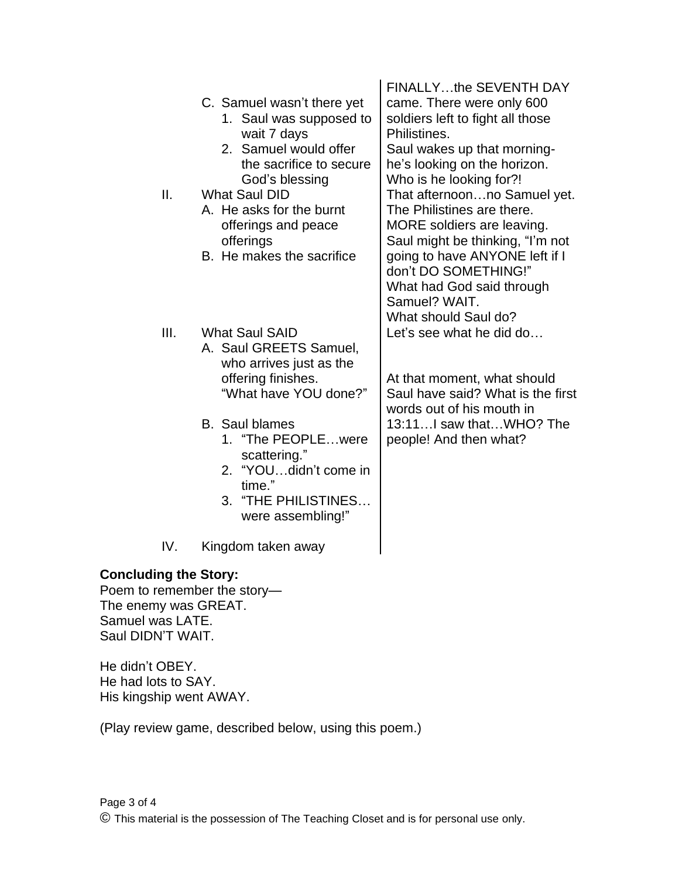| Ш.                                                                                                                           | C. Samuel wasn't there yet<br>1. Saul was supposed to<br>wait 7 days<br>2. Samuel would offer<br>the sacrifice to secure<br>God's blessing<br><b>What Saul DID</b><br>A. He asks for the burnt<br>offerings and peace<br>offerings<br>B. He makes the sacrifice         | <b>FINALLYthe SEVENTH DAY</b><br>came. There were only 600<br>soldiers left to fight all those<br>Philistines.<br>Saul wakes up that morning-<br>he's looking on the horizon.<br>Who is he looking for?!<br>That afternoonno Samuel yet.<br>The Philistines are there.<br>MORE soldiers are leaving.<br>Saul might be thinking, "I'm not<br>going to have ANYONE left if I<br>don't DO SOMETHING!"<br>What had God said through<br>Samuel? WAIT.<br>What should Saul do?<br>Let's see what he did do<br>At that moment, what should<br>Saul have said? What is the first<br>words out of his mouth in<br>13:11I saw thatWHO? The<br>people! And then what? |
|------------------------------------------------------------------------------------------------------------------------------|-------------------------------------------------------------------------------------------------------------------------------------------------------------------------------------------------------------------------------------------------------------------------|------------------------------------------------------------------------------------------------------------------------------------------------------------------------------------------------------------------------------------------------------------------------------------------------------------------------------------------------------------------------------------------------------------------------------------------------------------------------------------------------------------------------------------------------------------------------------------------------------------------------------------------------------------|
| III.                                                                                                                         | <b>What Saul SAID</b><br>A. Saul GREETS Samuel,<br>who arrives just as the<br>offering finishes.<br>"What have YOU done?"<br><b>B.</b> Saul blames<br>1. "The PEOPLEwere<br>scattering."<br>2. "YOUdidn't come in<br>time."<br>3. "THE PHILISTINES<br>were assembling!" |                                                                                                                                                                                                                                                                                                                                                                                                                                                                                                                                                                                                                                                            |
| IV.                                                                                                                          | Kingdom taken away                                                                                                                                                                                                                                                      |                                                                                                                                                                                                                                                                                                                                                                                                                                                                                                                                                                                                                                                            |
| <b>Concluding the Story:</b><br>Poem to remember the story-<br>The enemy was GREAT.<br>Samuel was LATE.<br>Saul DIDN'T WAIT. |                                                                                                                                                                                                                                                                         |                                                                                                                                                                                                                                                                                                                                                                                                                                                                                                                                                                                                                                                            |
| He didn't OBEY.<br>He had lots to SAY.<br>His kingship went AWAY.                                                            |                                                                                                                                                                                                                                                                         |                                                                                                                                                                                                                                                                                                                                                                                                                                                                                                                                                                                                                                                            |

(Play review game, described below, using this poem.)